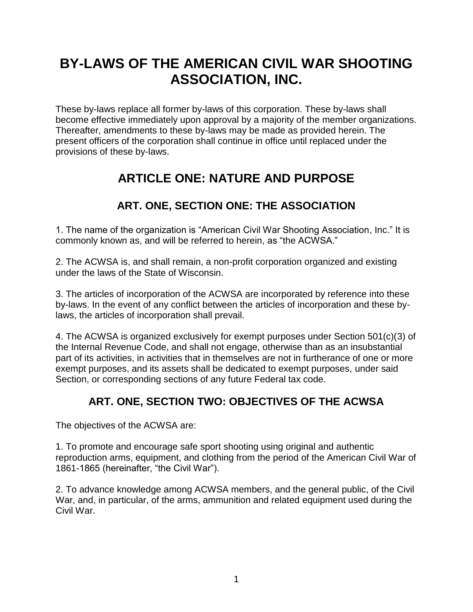# **BY-LAWS OF THE AMERICAN CIVIL WAR SHOOTING ASSOCIATION, INC.**

These by-laws replace all former by-laws of this corporation. These by-laws shall become effective immediately upon approval by a majority of the member organizations. Thereafter, amendments to these by-laws may be made as provided herein. The present officers of the corporation shall continue in office until replaced under the provisions of these by-laws.

## **ARTICLE ONE: NATURE AND PURPOSE**

## **ART. ONE, SECTION ONE: THE ASSOCIATION**

1. The name of the organization is "American Civil War Shooting Association, Inc." It is commonly known as, and will be referred to herein, as "the ACWSA."

2. The ACWSA is, and shall remain, a non-profit corporation organized and existing under the laws of the State of Wisconsin.

3. The articles of incorporation of the ACWSA are incorporated by reference into these by-laws. In the event of any conflict between the articles of incorporation and these bylaws, the articles of incorporation shall prevail.

4. The ACWSA is organized exclusively for exempt purposes under Section 501(c)(3) of the Internal Revenue Code, and shall not engage, otherwise than as an insubstantial part of its activities, in activities that in themselves are not in furtherance of one or more exempt purposes, and its assets shall be dedicated to exempt purposes, under said Section, or corresponding sections of any future Federal tax code.

## **ART. ONE, SECTION TWO: OBJECTIVES OF THE ACWSA**

The objectives of the ACWSA are:

1. To promote and encourage safe sport shooting using original and authentic reproduction arms, equipment, and clothing from the period of the American Civil War of 1861-1865 (hereinafter, "the Civil War").

2. To advance knowledge among ACWSA members, and the general public, of the Civil War, and, in particular, of the arms, ammunition and related equipment used during the Civil War.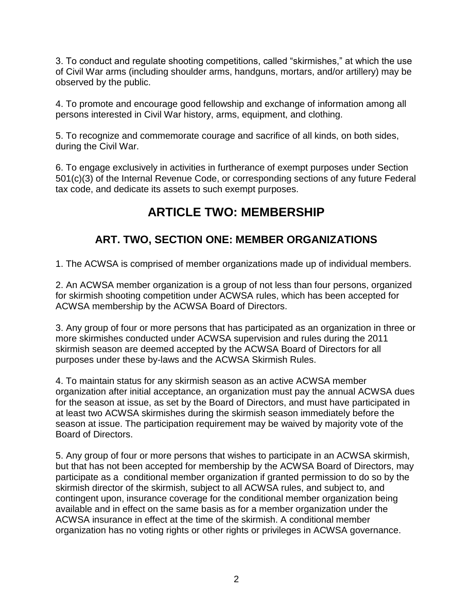3. To conduct and regulate shooting competitions, called "skirmishes," at which the use of Civil War arms (including shoulder arms, handguns, mortars, and/or artillery) may be observed by the public.

4. To promote and encourage good fellowship and exchange of information among all persons interested in Civil War history, arms, equipment, and clothing.

5. To recognize and commemorate courage and sacrifice of all kinds, on both sides, during the Civil War.

6. To engage exclusively in activities in furtherance of exempt purposes under Section 501(c)(3) of the Internal Revenue Code, or corresponding sections of any future Federal tax code, and dedicate its assets to such exempt purposes.

## **ARTICLE TWO: MEMBERSHIP**

## **ART. TWO, SECTION ONE: MEMBER ORGANIZATIONS**

1. The ACWSA is comprised of member organizations made up of individual members.

2. An ACWSA member organization is a group of not less than four persons, organized for skirmish shooting competition under ACWSA rules, which has been accepted for ACWSA membership by the ACWSA Board of Directors.

3. Any group of four or more persons that has participated as an organization in three or more skirmishes conducted under ACWSA supervision and rules during the 2011 skirmish season are deemed accepted by the ACWSA Board of Directors for all purposes under these by-laws and the ACWSA Skirmish Rules.

4. To maintain status for any skirmish season as an active ACWSA member organization after initial acceptance, an organization must pay the annual ACWSA dues for the season at issue, as set by the Board of Directors, and must have participated in at least two ACWSA skirmishes during the skirmish season immediately before the season at issue. The participation requirement may be waived by majority vote of the Board of Directors.

5. Any group of four or more persons that wishes to participate in an ACWSA skirmish, but that has not been accepted for membership by the ACWSA Board of Directors, may participate as a conditional member organization if granted permission to do so by the skirmish director of the skirmish, subject to all ACWSA rules, and subject to, and contingent upon, insurance coverage for the conditional member organization being available and in effect on the same basis as for a member organization under the ACWSA insurance in effect at the time of the skirmish. A conditional member organization has no voting rights or other rights or privileges in ACWSA governance.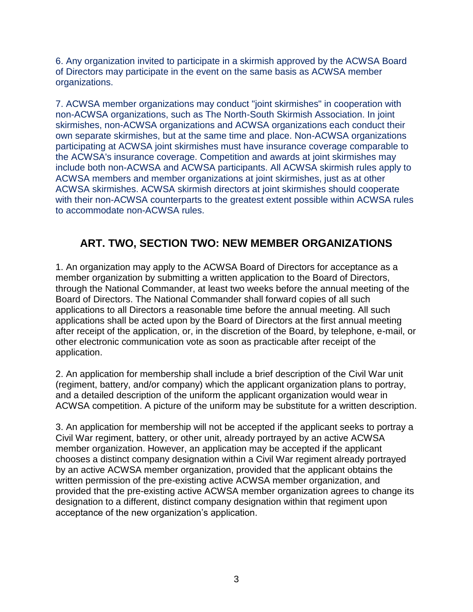6. Any organization invited to participate in a skirmish approved by the ACWSA Board of Directors may participate in the event on the same basis as ACWSA member organizations.

7. ACWSA member organizations may conduct "joint skirmishes" in cooperation with non-ACWSA organizations, such as The North-South Skirmish Association. In joint skirmishes, non-ACWSA organizations and ACWSA organizations each conduct their own separate skirmishes, but at the same time and place. Non-ACWSA organizations participating at ACWSA joint skirmishes must have insurance coverage comparable to the ACWSA's insurance coverage. Competition and awards at joint skirmishes may include both non-ACWSA and ACWSA participants. All ACWSA skirmish rules apply to ACWSA members and member organizations at joint skirmishes, just as at other ACWSA skirmishes. ACWSA skirmish directors at joint skirmishes should cooperate with their non-ACWSA counterparts to the greatest extent possible within ACWSA rules to accommodate non-ACWSA rules.

## **ART. TWO, SECTION TWO: NEW MEMBER ORGANIZATIONS**

1. An organization may apply to the ACWSA Board of Directors for acceptance as a member organization by submitting a written application to the Board of Directors, through the National Commander, at least two weeks before the annual meeting of the Board of Directors. The National Commander shall forward copies of all such applications to all Directors a reasonable time before the annual meeting. All such applications shall be acted upon by the Board of Directors at the first annual meeting after receipt of the application, or, in the discretion of the Board, by telephone, e-mail, or other electronic communication vote as soon as practicable after receipt of the application.

2. An application for membership shall include a brief description of the Civil War unit (regiment, battery, and/or company) which the applicant organization plans to portray, and a detailed description of the uniform the applicant organization would wear in ACWSA competition. A picture of the uniform may be substitute for a written description.

3. An application for membership will not be accepted if the applicant seeks to portray a Civil War regiment, battery, or other unit, already portrayed by an active ACWSA member organization. However, an application may be accepted if the applicant chooses a distinct company designation within a Civil War regiment already portrayed by an active ACWSA member organization, provided that the applicant obtains the written permission of the pre-existing active ACWSA member organization, and provided that the pre-existing active ACWSA member organization agrees to change its designation to a different, distinct company designation within that regiment upon acceptance of the new organization's application.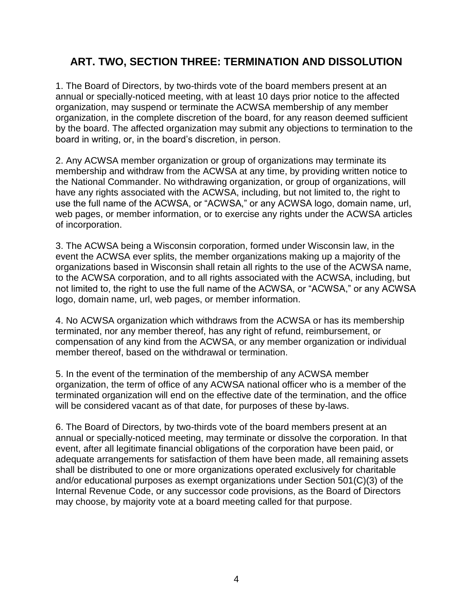#### **ART. TWO, SECTION THREE: TERMINATION AND DISSOLUTION**

1. The Board of Directors, by two-thirds vote of the board members present at an annual or specially-noticed meeting, with at least 10 days prior notice to the affected organization, may suspend or terminate the ACWSA membership of any member organization, in the complete discretion of the board, for any reason deemed sufficient by the board. The affected organization may submit any objections to termination to the board in writing, or, in the board's discretion, in person.

2. Any ACWSA member organization or group of organizations may terminate its membership and withdraw from the ACWSA at any time, by providing written notice to the National Commander. No withdrawing organization, or group of organizations, will have any rights associated with the ACWSA, including, but not limited to, the right to use the full name of the ACWSA, or "ACWSA," or any ACWSA logo, domain name, url, web pages, or member information, or to exercise any rights under the ACWSA articles of incorporation.

3. The ACWSA being a Wisconsin corporation, formed under Wisconsin law, in the event the ACWSA ever splits, the member organizations making up a majority of the organizations based in Wisconsin shall retain all rights to the use of the ACWSA name, to the ACWSA corporation, and to all rights associated with the ACWSA, including, but not limited to, the right to use the full name of the ACWSA, or "ACWSA," or any ACWSA logo, domain name, url, web pages, or member information.

4. No ACWSA organization which withdraws from the ACWSA or has its membership terminated, nor any member thereof, has any right of refund, reimbursement, or compensation of any kind from the ACWSA, or any member organization or individual member thereof, based on the withdrawal or termination.

5. In the event of the termination of the membership of any ACWSA member organization, the term of office of any ACWSA national officer who is a member of the terminated organization will end on the effective date of the termination, and the office will be considered vacant as of that date, for purposes of these by-laws.

6. The Board of Directors, by two-thirds vote of the board members present at an annual or specially-noticed meeting, may terminate or dissolve the corporation. In that event, after all legitimate financial obligations of the corporation have been paid, or adequate arrangements for satisfaction of them have been made, all remaining assets shall be distributed to one or more organizations operated exclusively for charitable and/or educational purposes as exempt organizations under Section 501(C)(3) of the Internal Revenue Code, or any successor code provisions, as the Board of Directors may choose, by majority vote at a board meeting called for that purpose.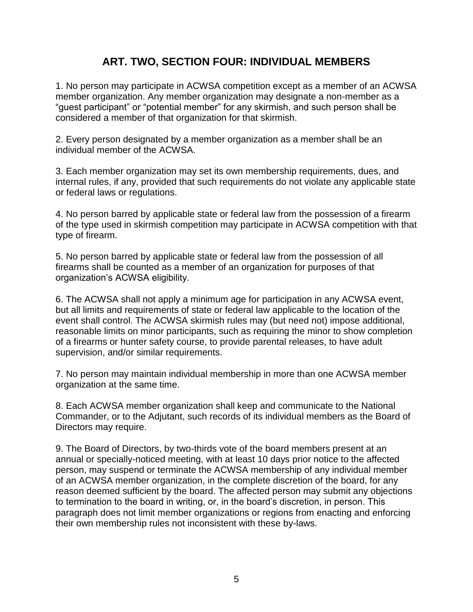#### **ART. TWO, SECTION FOUR: INDIVIDUAL MEMBERS**

1. No person may participate in ACWSA competition except as a member of an ACWSA member organization. Any member organization may designate a non-member as a "guest participant" or "potential member" for any skirmish, and such person shall be considered a member of that organization for that skirmish.

2. Every person designated by a member organization as a member shall be an individual member of the ACWSA.

3. Each member organization may set its own membership requirements, dues, and internal rules, if any, provided that such requirements do not violate any applicable state or federal laws or regulations.

4. No person barred by applicable state or federal law from the possession of a firearm of the type used in skirmish competition may participate in ACWSA competition with that type of firearm.

5. No person barred by applicable state or federal law from the possession of all firearms shall be counted as a member of an organization for purposes of that organization's ACWSA eligibility.

6. The ACWSA shall not apply a minimum age for participation in any ACWSA event, but all limits and requirements of state or federal law applicable to the location of the event shall control. The ACWSA skirmish rules may (but need not) impose additional, reasonable limits on minor participants, such as requiring the minor to show completion of a firearms or hunter safety course, to provide parental releases, to have adult supervision, and/or similar requirements.

7. No person may maintain individual membership in more than one ACWSA member organization at the same time.

8. Each ACWSA member organization shall keep and communicate to the National Commander, or to the Adjutant, such records of its individual members as the Board of Directors may require.

9. The Board of Directors, by two-thirds vote of the board members present at an annual or specially-noticed meeting, with at least 10 days prior notice to the affected person, may suspend or terminate the ACWSA membership of any individual member of an ACWSA member organization, in the complete discretion of the board, for any reason deemed sufficient by the board. The affected person may submit any objections to termination to the board in writing, or, in the board's discretion, in person. This paragraph does not limit member organizations or regions from enacting and enforcing their own membership rules not inconsistent with these by-laws.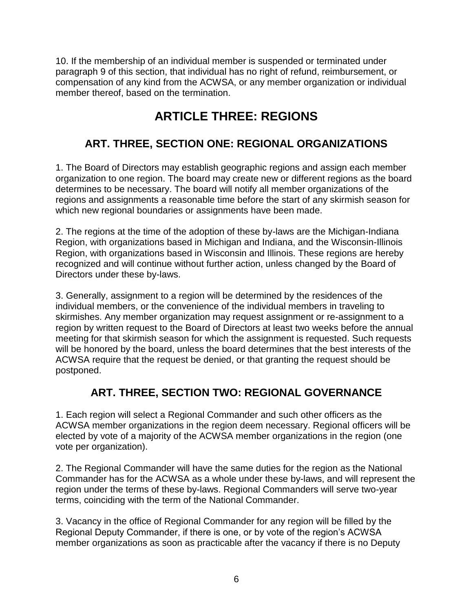10. If the membership of an individual member is suspended or terminated under paragraph 9 of this section, that individual has no right of refund, reimbursement, or compensation of any kind from the ACWSA, or any member organization or individual member thereof, based on the termination.

## **ARTICLE THREE: REGIONS**

### **ART. THREE, SECTION ONE: REGIONAL ORGANIZATIONS**

1. The Board of Directors may establish geographic regions and assign each member organization to one region. The board may create new or different regions as the board determines to be necessary. The board will notify all member organizations of the regions and assignments a reasonable time before the start of any skirmish season for which new regional boundaries or assignments have been made.

2. The regions at the time of the adoption of these by-laws are the Michigan-Indiana Region, with organizations based in Michigan and Indiana, and the Wisconsin-Illinois Region, with organizations based in Wisconsin and Illinois. These regions are hereby recognized and will continue without further action, unless changed by the Board of Directors under these by-laws.

3. Generally, assignment to a region will be determined by the residences of the individual members, or the convenience of the individual members in traveling to skirmishes. Any member organization may request assignment or re-assignment to a region by written request to the Board of Directors at least two weeks before the annual meeting for that skirmish season for which the assignment is requested. Such requests will be honored by the board, unless the board determines that the best interests of the ACWSA require that the request be denied, or that granting the request should be postponed.

#### **ART. THREE, SECTION TWO: REGIONAL GOVERNANCE**

1. Each region will select a Regional Commander and such other officers as the ACWSA member organizations in the region deem necessary. Regional officers will be elected by vote of a majority of the ACWSA member organizations in the region (one vote per organization).

2. The Regional Commander will have the same duties for the region as the National Commander has for the ACWSA as a whole under these by-laws, and will represent the region under the terms of these by-laws. Regional Commanders will serve two-year terms, coinciding with the term of the National Commander.

3. Vacancy in the office of Regional Commander for any region will be filled by the Regional Deputy Commander, if there is one, or by vote of the region's ACWSA member organizations as soon as practicable after the vacancy if there is no Deputy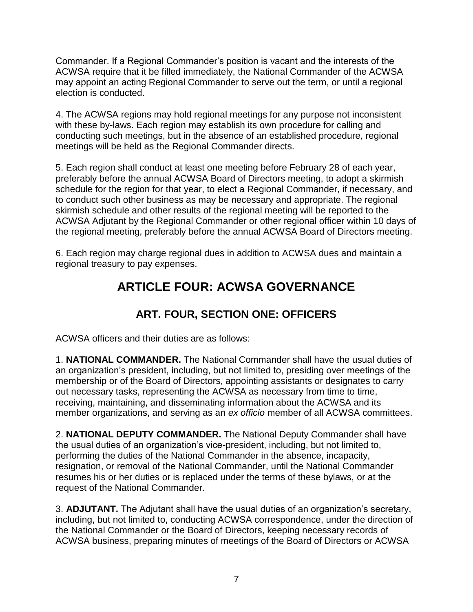Commander. If a Regional Commander's position is vacant and the interests of the ACWSA require that it be filled immediately, the National Commander of the ACWSA may appoint an acting Regional Commander to serve out the term, or until a regional election is conducted.

4. The ACWSA regions may hold regional meetings for any purpose not inconsistent with these by-laws. Each region may establish its own procedure for calling and conducting such meetings, but in the absence of an established procedure, regional meetings will be held as the Regional Commander directs.

5. Each region shall conduct at least one meeting before February 28 of each year, preferably before the annual ACWSA Board of Directors meeting, to adopt a skirmish schedule for the region for that year, to elect a Regional Commander, if necessary, and to conduct such other business as may be necessary and appropriate. The regional skirmish schedule and other results of the regional meeting will be reported to the ACWSA Adjutant by the Regional Commander or other regional officer within 10 days of the regional meeting, preferably before the annual ACWSA Board of Directors meeting.

6. Each region may charge regional dues in addition to ACWSA dues and maintain a regional treasury to pay expenses.

## **ARTICLE FOUR: ACWSA GOVERNANCE**

## **ART. FOUR, SECTION ONE: OFFICERS**

ACWSA officers and their duties are as follows:

1. **NATIONAL COMMANDER.** The National Commander shall have the usual duties of an organization's president, including, but not limited to, presiding over meetings of the membership or of the Board of Directors, appointing assistants or designates to carry out necessary tasks, representing the ACWSA as necessary from time to time, receiving, maintaining, and disseminating information about the ACWSA and its member organizations, and serving as an *ex officio* member of all ACWSA committees.

2. **NATIONAL DEPUTY COMMANDER.** The National Deputy Commander shall have the usual duties of an organization's vice-president, including, but not limited to, performing the duties of the National Commander in the absence, incapacity, resignation, or removal of the National Commander, until the National Commander resumes his or her duties or is replaced under the terms of these bylaws, or at the request of the National Commander.

3. **ADJUTANT.** The Adjutant shall have the usual duties of an organization's secretary, including, but not limited to, conducting ACWSA correspondence, under the direction of the National Commander or the Board of Directors, keeping necessary records of ACWSA business, preparing minutes of meetings of the Board of Directors or ACWSA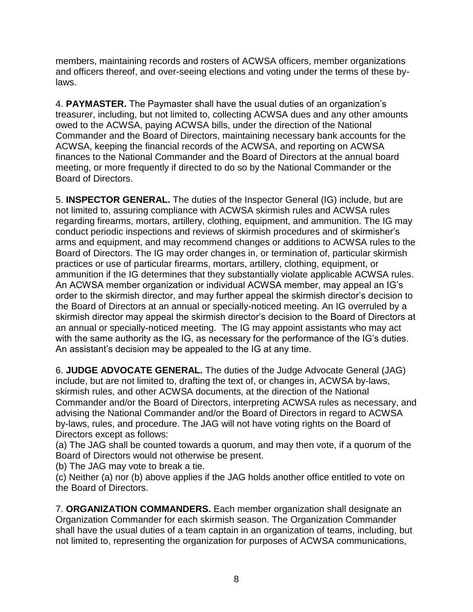members, maintaining records and rosters of ACWSA officers, member organizations and officers thereof, and over-seeing elections and voting under the terms of these bylaws.

4. **PAYMASTER.** The Paymaster shall have the usual duties of an organization's treasurer, including, but not limited to, collecting ACWSA dues and any other amounts owed to the ACWSA, paying ACWSA bills, under the direction of the National Commander and the Board of Directors, maintaining necessary bank accounts for the ACWSA, keeping the financial records of the ACWSA, and reporting on ACWSA finances to the National Commander and the Board of Directors at the annual board meeting, or more frequently if directed to do so by the National Commander or the Board of Directors.

5. **INSPECTOR GENERAL.** The duties of the Inspector General (IG) include, but are not limited to, assuring compliance with ACWSA skirmish rules and ACWSA rules regarding firearms, mortars, artillery, clothing, equipment, and ammunition. The IG may conduct periodic inspections and reviews of skirmish procedures and of skirmisher's arms and equipment, and may recommend changes or additions to ACWSA rules to the Board of Directors. The IG may order changes in, or termination of, particular skirmish practices or use of particular firearms, mortars, artillery, clothing, equipment, or ammunition if the IG determines that they substantially violate applicable ACWSA rules. An ACWSA member organization or individual ACWSA member, may appeal an IG's order to the skirmish director, and may further appeal the skirmish director's decision to the Board of Directors at an annual or specially-noticed meeting. An IG overruled by a skirmish director may appeal the skirmish director's decision to the Board of Directors at an annual or specially-noticed meeting. The IG may appoint assistants who may act with the same authority as the IG, as necessary for the performance of the IG's duties. An assistant's decision may be appealed to the IG at any time.

6. **JUDGE ADVOCATE GENERAL.** The duties of the Judge Advocate General (JAG) include, but are not limited to, drafting the text of, or changes in, ACWSA by-laws, skirmish rules, and other ACWSA documents, at the direction of the National Commander and/or the Board of Directors, interpreting ACWSA rules as necessary, and advising the National Commander and/or the Board of Directors in regard to ACWSA by-laws, rules, and procedure. The JAG will not have voting rights on the Board of Directors except as follows:

(a) The JAG shall be counted towards a quorum, and may then vote, if a quorum of the Board of Directors would not otherwise be present.

(b) The JAG may vote to break a tie.

(c) Neither (a) nor (b) above applies if the JAG holds another office entitled to vote on the Board of Directors.

7. **ORGANIZATION COMMANDERS.** Each member organization shall designate an Organization Commander for each skirmish season. The Organization Commander shall have the usual duties of a team captain in an organization of teams, including, but not limited to, representing the organization for purposes of ACWSA communications,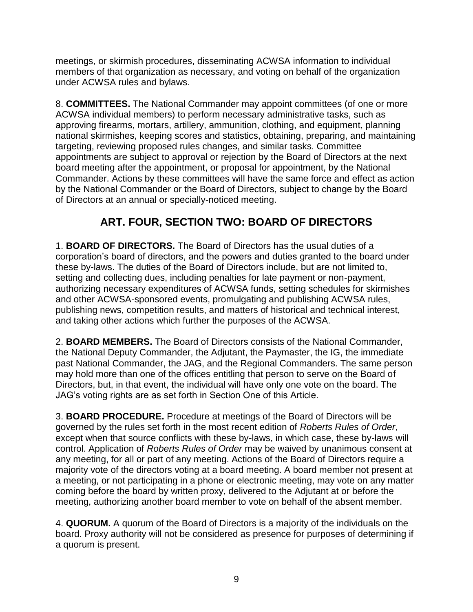meetings, or skirmish procedures, disseminating ACWSA information to individual members of that organization as necessary, and voting on behalf of the organization under ACWSA rules and bylaws.

8. **COMMITTEES.** The National Commander may appoint committees (of one or more ACWSA individual members) to perform necessary administrative tasks, such as approving firearms, mortars, artillery, ammunition, clothing, and equipment, planning national skirmishes, keeping scores and statistics, obtaining, preparing, and maintaining targeting, reviewing proposed rules changes, and similar tasks. Committee appointments are subject to approval or rejection by the Board of Directors at the next board meeting after the appointment, or proposal for appointment, by the National Commander. Actions by these committees will have the same force and effect as action by the National Commander or the Board of Directors, subject to change by the Board of Directors at an annual or specially-noticed meeting.

## **ART. FOUR, SECTION TWO: BOARD OF DIRECTORS**

1. **BOARD OF DIRECTORS.** The Board of Directors has the usual duties of a corporation's board of directors, and the powers and duties granted to the board under these by-laws. The duties of the Board of Directors include, but are not limited to, setting and collecting dues, including penalties for late payment or non-payment, authorizing necessary expenditures of ACWSA funds, setting schedules for skirmishes and other ACWSA-sponsored events, promulgating and publishing ACWSA rules, publishing news, competition results, and matters of historical and technical interest, and taking other actions which further the purposes of the ACWSA.

2. **BOARD MEMBERS.** The Board of Directors consists of the National Commander, the National Deputy Commander, the Adjutant, the Paymaster, the IG, the immediate past National Commander, the JAG, and the Regional Commanders. The same person may hold more than one of the offices entitling that person to serve on the Board of Directors, but, in that event, the individual will have only one vote on the board. The JAG's voting rights are as set forth in Section One of this Article.

3. **BOARD PROCEDURE.** Procedure at meetings of the Board of Directors will be governed by the rules set forth in the most recent edition of *Roberts Rules of Order*, except when that source conflicts with these by-laws, in which case, these by-laws will control. Application of *Roberts Rules of Order* may be waived by unanimous consent at any meeting, for all or part of any meeting. Actions of the Board of Directors require a majority vote of the directors voting at a board meeting. A board member not present at a meeting, or not participating in a phone or electronic meeting, may vote on any matter coming before the board by written proxy, delivered to the Adjutant at or before the meeting, authorizing another board member to vote on behalf of the absent member.

4. **QUORUM.** A quorum of the Board of Directors is a majority of the individuals on the board. Proxy authority will not be considered as presence for purposes of determining if a quorum is present.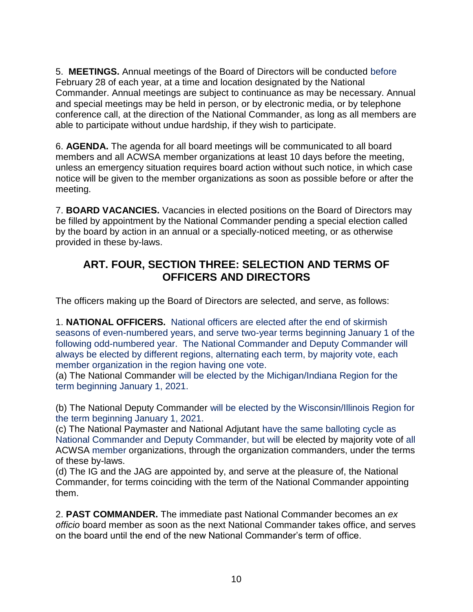5. **MEETINGS.** Annual meetings of the Board of Directors will be conducted before February 28 of each year, at a time and location designated by the National Commander. Annual meetings are subject to continuance as may be necessary. Annual and special meetings may be held in person, or by electronic media, or by telephone conference call, at the direction of the National Commander, as long as all members are able to participate without undue hardship, if they wish to participate.

6. **AGENDA.** The agenda for all board meetings will be communicated to all board members and all ACWSA member organizations at least 10 days before the meeting, unless an emergency situation requires board action without such notice, in which case notice will be given to the member organizations as soon as possible before or after the meeting.

7. **BOARD VACANCIES.** Vacancies in elected positions on the Board of Directors may be filled by appointment by the National Commander pending a special election called by the board by action in an annual or a specially-noticed meeting, or as otherwise provided in these by-laws.

#### **ART. FOUR, SECTION THREE: SELECTION AND TERMS OF OFFICERS AND DIRECTORS**

The officers making up the Board of Directors are selected, and serve, as follows:

1. **NATIONAL OFFICERS.** National officers are elected after the end of skirmish seasons of even-numbered years, and serve two-year terms beginning January 1 of the following odd-numbered year. The National Commander and Deputy Commander will always be elected by different regions, alternating each term, by majority vote, each member organization in the region having one vote.

(a) The National Commander will be elected by the Michigan/Indiana Region for the term beginning January 1, 2021.

(b) The National Deputy Commander will be elected by the Wisconsin/Illinois Region for the term beginning January 1, 2021.

(c) The National Paymaster and National Adjutant have the same balloting cycle as National Commander and Deputy Commander, but will be elected by majority vote of all ACWSA member organizations, through the organization commanders, under the terms of these by-laws.

(d) The IG and the JAG are appointed by, and serve at the pleasure of, the National Commander, for terms coinciding with the term of the National Commander appointing them.

2. **PAST COMMANDER.** The immediate past National Commander becomes an *ex officio* board member as soon as the next National Commander takes office, and serves on the board until the end of the new National Commander's term of office.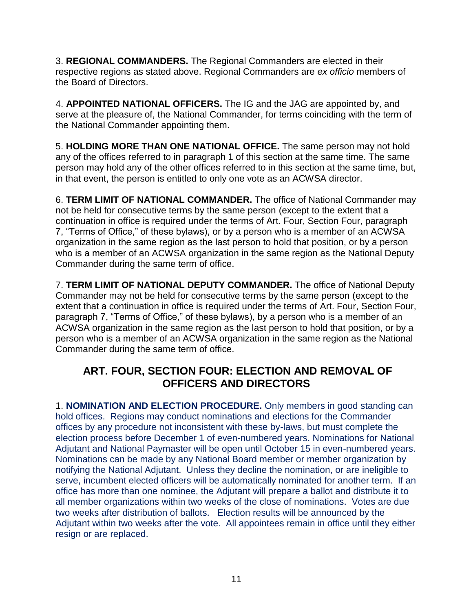3. **REGIONAL COMMANDERS.** The Regional Commanders are elected in their respective regions as stated above. Regional Commanders are *ex officio* members of the Board of Directors.

4. **APPOINTED NATIONAL OFFICERS.** The IG and the JAG are appointed by, and serve at the pleasure of, the National Commander, for terms coinciding with the term of the National Commander appointing them.

5. **HOLDING MORE THAN ONE NATIONAL OFFICE.** The same person may not hold any of the offices referred to in paragraph 1 of this section at the same time. The same person may hold any of the other offices referred to in this section at the same time, but, in that event, the person is entitled to only one vote as an ACWSA director.

6. **TERM LIMIT OF NATIONAL COMMANDER.** The office of National Commander may not be held for consecutive terms by the same person (except to the extent that a continuation in office is required under the terms of Art. Four, Section Four, paragraph 7, "Terms of Office," of these bylaws), or by a person who is a member of an ACWSA organization in the same region as the last person to hold that position, or by a person who is a member of an ACWSA organization in the same region as the National Deputy Commander during the same term of office.

7. **TERM LIMIT OF NATIONAL DEPUTY COMMANDER.** The office of National Deputy Commander may not be held for consecutive terms by the same person (except to the extent that a continuation in office is required under the terms of Art. Four, Section Four, paragraph 7, "Terms of Office," of these bylaws), by a person who is a member of an ACWSA organization in the same region as the last person to hold that position, or by a person who is a member of an ACWSA organization in the same region as the National Commander during the same term of office.

#### **ART. FOUR, SECTION FOUR: ELECTION AND REMOVAL OF OFFICERS AND DIRECTORS**

1. **NOMINATION AND ELECTION PROCEDURE.** Only members in good standing can hold offices. Regions may conduct nominations and elections for the Commander offices by any procedure not inconsistent with these by-laws, but must complete the election process before December 1 of even-numbered years. Nominations for National Adjutant and National Paymaster will be open until October 15 in even-numbered years. Nominations can be made by any National Board member or member organization by notifying the National Adjutant. Unless they decline the nomination, or are ineligible to serve, incumbent elected officers will be automatically nominated for another term. If an office has more than one nominee, the Adjutant will prepare a ballot and distribute it to all member organizations within two weeks of the close of nominations. Votes are due two weeks after distribution of ballots. Election results will be announced by the Adjutant within two weeks after the vote. All appointees remain in office until they either resign or are replaced.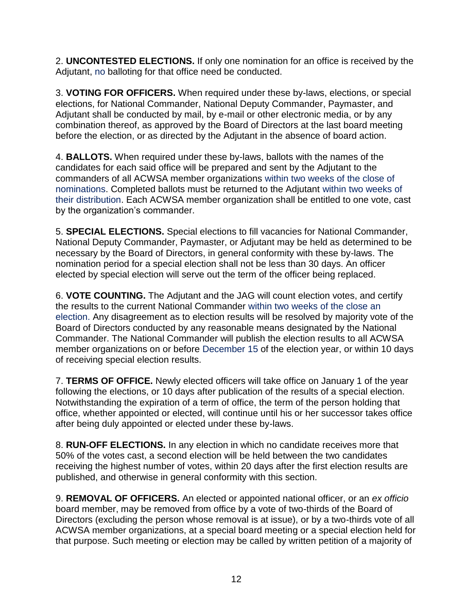2. **UNCONTESTED ELECTIONS.** If only one nomination for an office is received by the Adjutant, no balloting for that office need be conducted.

3. **VOTING FOR OFFICERS.** When required under these by-laws, elections, or special elections, for National Commander, National Deputy Commander, Paymaster, and Adjutant shall be conducted by mail, by e-mail or other electronic media, or by any combination thereof, as approved by the Board of Directors at the last board meeting before the election, or as directed by the Adjutant in the absence of board action.

4. **BALLOTS.** When required under these by-laws, ballots with the names of the candidates for each said office will be prepared and sent by the Adjutant to the commanders of all ACWSA member organizations within two weeks of the close of nominations. Completed ballots must be returned to the Adjutant within two weeks of their distribution. Each ACWSA member organization shall be entitled to one vote, cast by the organization's commander.

5. **SPECIAL ELECTIONS.** Special elections to fill vacancies for National Commander, National Deputy Commander, Paymaster, or Adjutant may be held as determined to be necessary by the Board of Directors, in general conformity with these by-laws. The nomination period for a special election shall not be less than 30 days. An officer elected by special election will serve out the term of the officer being replaced.

6. **VOTE COUNTING.** The Adjutant and the JAG will count election votes, and certify the results to the current National Commander within two weeks of the close an election. Any disagreement as to election results will be resolved by majority vote of the Board of Directors conducted by any reasonable means designated by the National Commander. The National Commander will publish the election results to all ACWSA member organizations on or before December 15 of the election year, or within 10 days of receiving special election results.

7. **TERMS OF OFFICE.** Newly elected officers will take office on January 1 of the year following the elections, or 10 days after publication of the results of a special election. Notwithstanding the expiration of a term of office, the term of the person holding that office, whether appointed or elected, will continue until his or her successor takes office after being duly appointed or elected under these by-laws.

8. **RUN-OFF ELECTIONS.** In any election in which no candidate receives more that 50% of the votes cast, a second election will be held between the two candidates receiving the highest number of votes, within 20 days after the first election results are published, and otherwise in general conformity with this section.

9. **REMOVAL OF OFFICERS.** An elected or appointed national officer, or an *ex officio*  board member, may be removed from office by a vote of two-thirds of the Board of Directors (excluding the person whose removal is at issue), or by a two-thirds vote of all ACWSA member organizations, at a special board meeting or a special election held for that purpose. Such meeting or election may be called by written petition of a majority of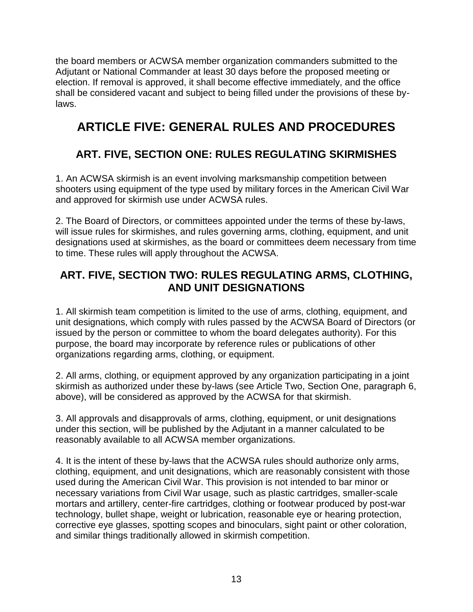the board members or ACWSA member organization commanders submitted to the Adjutant or National Commander at least 30 days before the proposed meeting or election. If removal is approved, it shall become effective immediately, and the office shall be considered vacant and subject to being filled under the provisions of these bylaws.

## **ARTICLE FIVE: GENERAL RULES AND PROCEDURES**

## **ART. FIVE, SECTION ONE: RULES REGULATING SKIRMISHES**

1. An ACWSA skirmish is an event involving marksmanship competition between shooters using equipment of the type used by military forces in the American Civil War and approved for skirmish use under ACWSA rules.

2. The Board of Directors, or committees appointed under the terms of these by-laws, will issue rules for skirmishes, and rules governing arms, clothing, equipment, and unit designations used at skirmishes, as the board or committees deem necessary from time to time. These rules will apply throughout the ACWSA.

#### **ART. FIVE, SECTION TWO: RULES REGULATING ARMS, CLOTHING, AND UNIT DESIGNATIONS**

1. All skirmish team competition is limited to the use of arms, clothing, equipment, and unit designations, which comply with rules passed by the ACWSA Board of Directors (or issued by the person or committee to whom the board delegates authority). For this purpose, the board may incorporate by reference rules or publications of other organizations regarding arms, clothing, or equipment.

2. All arms, clothing, or equipment approved by any organization participating in a joint skirmish as authorized under these by-laws (see Article Two, Section One, paragraph 6, above), will be considered as approved by the ACWSA for that skirmish.

3. All approvals and disapprovals of arms, clothing, equipment, or unit designations under this section, will be published by the Adjutant in a manner calculated to be reasonably available to all ACWSA member organizations.

4. It is the intent of these by-laws that the ACWSA rules should authorize only arms, clothing, equipment, and unit designations, which are reasonably consistent with those used during the American Civil War. This provision is not intended to bar minor or necessary variations from Civil War usage, such as plastic cartridges, smaller-scale mortars and artillery, center-fire cartridges, clothing or footwear produced by post-war technology, bullet shape, weight or lubrication, reasonable eye or hearing protection, corrective eye glasses, spotting scopes and binoculars, sight paint or other coloration, and similar things traditionally allowed in skirmish competition.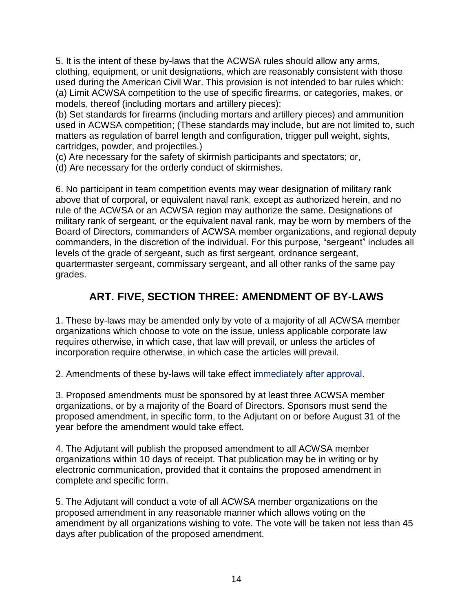5. It is the intent of these by-laws that the ACWSA rules should allow any arms, clothing, equipment, or unit designations, which are reasonably consistent with those used during the American Civil War. This provision is not intended to bar rules which: (a) Limit ACWSA competition to the use of specific firearms, or categories, makes, or models, thereof (including mortars and artillery pieces);

(b) Set standards for firearms (including mortars and artillery pieces) and ammunition used in ACWSA competition; (These standards may include, but are not limited to, such matters as regulation of barrel length and configuration, trigger pull weight, sights, cartridges, powder, and projectiles.)

(c) Are necessary for the safety of skirmish participants and spectators; or,

(d) Are necessary for the orderly conduct of skirmishes.

6. No participant in team competition events may wear designation of military rank above that of corporal, or equivalent naval rank, except as authorized herein, and no rule of the ACWSA or an ACWSA region may authorize the same. Designations of military rank of sergeant, or the equivalent naval rank, may be worn by members of the Board of Directors, commanders of ACWSA member organizations, and regional deputy commanders, in the discretion of the individual. For this purpose, "sergeant" includes all levels of the grade of sergeant, such as first sergeant, ordnance sergeant, quartermaster sergeant, commissary sergeant, and all other ranks of the same pay grades.

## **ART. FIVE, SECTION THREE: AMENDMENT OF BY-LAWS**

1. These by-laws may be amended only by vote of a majority of all ACWSA member organizations which choose to vote on the issue, unless applicable corporate law requires otherwise, in which case, that law will prevail, or unless the articles of incorporation require otherwise, in which case the articles will prevail.

2. Amendments of these by-laws will take effect immediately after approval.

3. Proposed amendments must be sponsored by at least three ACWSA member organizations, or by a majority of the Board of Directors. Sponsors must send the proposed amendment, in specific form, to the Adjutant on or before August 31 of the year before the amendment would take effect.

4. The Adjutant will publish the proposed amendment to all ACWSA member organizations within 10 days of receipt. That publication may be in writing or by electronic communication, provided that it contains the proposed amendment in complete and specific form.

5. The Adjutant will conduct a vote of all ACWSA member organizations on the proposed amendment in any reasonable manner which allows voting on the amendment by all organizations wishing to vote. The vote will be taken not less than 45 days after publication of the proposed amendment.